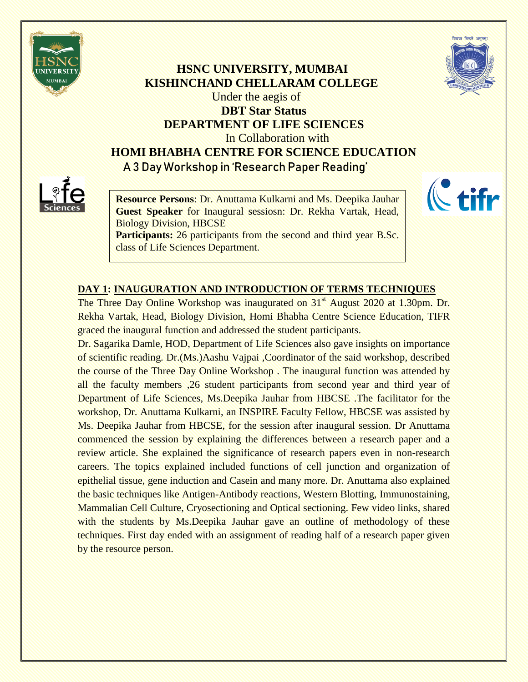



## **HSNC UNIVERSITY, MUMBAI KISHINCHAND CHELLARAM COLLEGE** Under the aegis of **DBT Star Status DEPARTMENT OF LIFE SCIENCES** In Collaboration with **HOMI BHABHA CENTRE FOR SCIENCE EDUCATION A 3 Day Workshop in 'Research Paper Reading'**



**Resource Persons**: Dr. Anuttama Kulkarni and Ms. Deepika Jauhar **Guest Speaker** for Inaugural sessiosn: Dr. Rekha Vartak, Head, Biology Division, HBCSE

**Participants:** 26 participants from the second and third year B.Sc. class of Life Sciences Department.



## **DAY 1: INAUGURATION AND INTRODUCTION OF TERMS TECHNIQUES**

The Three Day Online Workshop was inaugurated on 31<sup>st</sup> August 2020 at 1.30pm. Dr. Rekha Vartak, Head, Biology Division, Homi Bhabha Centre Science Education, TIFR graced the inaugural function and addressed the student participants.

Dr. Sagarika Damle, HOD, Department of Life Sciences also gave insights on importance of scientific reading. Dr.(Ms.)Aashu Vajpai ,Coordinator of the said workshop, described the course of the Three Day Online Workshop . The inaugural function was attended by all the faculty members ,26 student participants from second year and third year of Department of Life Sciences, Ms.Deepika Jauhar from HBCSE .The facilitator for the workshop, Dr. Anuttama Kulkarni, an INSPIRE Faculty Fellow, HBCSE was assisted by Ms. Deepika Jauhar from HBCSE, for the session after inaugural session. Dr Anuttama commenced the session by explaining the differences between a research paper and a review article. She explained the significance of research papers even in non-research careers. The topics explained included functions of cell junction and organization of epithelial tissue, gene induction and Casein and many more. Dr. Anuttama also explained the basic techniques like Antigen-Antibody reactions, Western Blotting, Immunostaining, Mammalian Cell Culture, Cryosectioning and Optical sectioning. Few video links, shared with the students by Ms.Deepika Jauhar gave an outline of methodology of these techniques. First day ended with an assignment of reading half of a research paper given by the resource person.